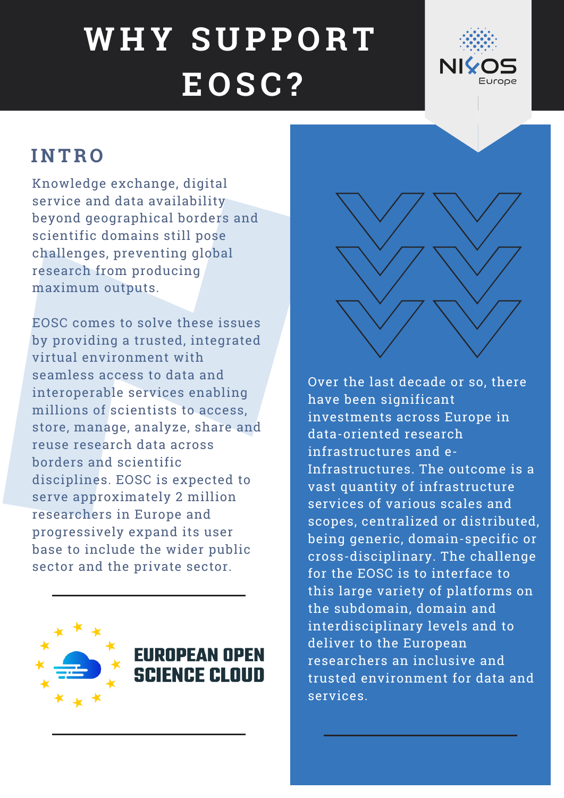#### **I N TR O**

Knowledge exchange, digital service and data availability beyond geographical borders and scientific domains still pose challenges, preventing global research from producing maximum outputs.

EOSC comes to solve these issues by providing a trusted, integrated virtual environment with seamless access to data and interoperable services enabling millions of scientists to access, store, manage, analyze, share and reuse research data across borders and scientific disciplines. EOSC is expected to serve approximately 2 million researchers in Europe and progressively expand its user base to include the wider public sector and the private sector.



Over the last decade or so, there have been significant investments across Europe in data-oriented research infrastructures and e-Infrastructures. The outcome is a vast quantity of infrastructure services of various scales and scopes, centralized or distributed, being generic, domain-specific or cross-disciplinary. The challenge for the EOSC is to interface to this large variety of platforms on the subdomain, domain and interdisciplinary levels and to deliver to the European researchers an inclusive and trusted environment for data and services.



# **W H Y S U PP O RT E O SC?**

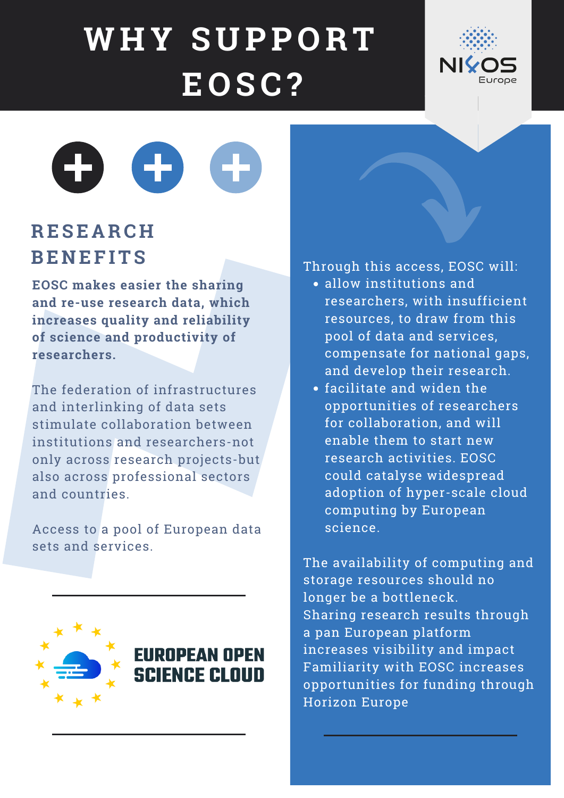### **RE S E A RC H BE N E F ITS**

**EOSC makes easier the sharing and re-use research data, which increases quality and reliability of science and productivity of researchers.**

The federation of infrastructures and interlinking of data sets stimulate collaboration between institutions and researchers-not only across research projects-but also across professional sectors and countries.

Access to a pool of European data sets and services.



## **EUROPEAN OPEN SCIENCE CLOUD**

- allow institutions and researchers, with insufficient resources, to draw from this pool of data and services, compensate for national gaps, and develop their research.
- facilitate and widen the opportunities of researchers for collaboration, and will

enable them to start new research activities. EOSC could catalyse widespread adoption of hyper-scale cloud computing by European science.

Through this access, EOSC will:

The availability of computing and storage resources should no longer be a bottleneck. Sharing research results through a pan European platform increases visibility and impact Familiarity with EOSC increases opportunities for funding through Horizon Europe

## **W H Y S U PP O RT E O SC?**

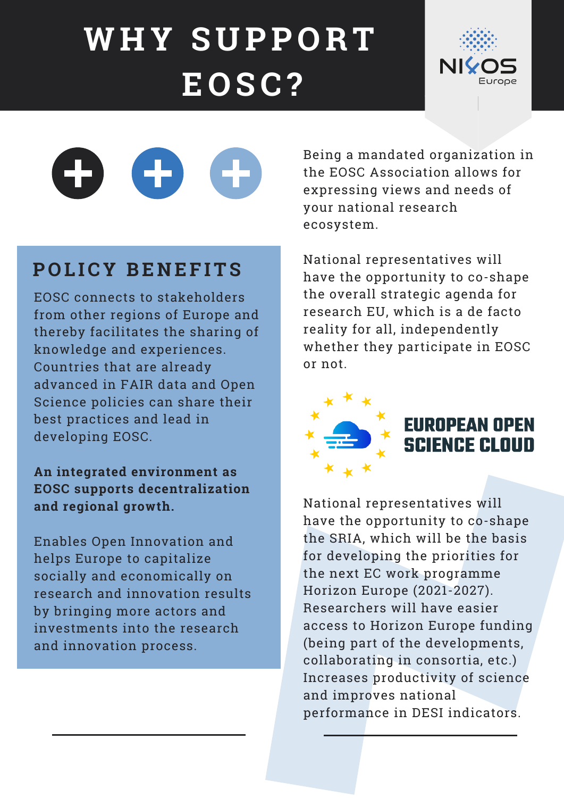#### **P O L ICY BE N E F ITS**

EOSC connects to stakeholders from other regions of Europe and thereby facilitates the sharing of knowledge and experiences. Countries that are already advanced in FAIR data and Open Science policies can share their best practices and lead in

developing EOSC.

**An integrated environment as EOSC supports decentralization and regional growth.**

Enables Open Innovation and helps Europe to capitalize socially and economically on research and innovation results by bringing more actors and investments into the research and innovation process.

Being a mandated organization in the EOSC Association allows for expressing views and needs of your national research ecosystem.

National representatives will have the opportunity to co-shape the overall strategic agenda for research EU, which is a de facto reality for all, independently whether they participate in EOSC or not.



National representatives will have the opportunity to co-shape the SRIA, which will be the basis for developing the priorities for the next EC work programme Horizon Europe (2021-2027). Researchers will have easier access to Horizon Europe funding (being part of the developments, collaborating in consortia, etc.) Increases productivity of science and improves national performance in DESI indicators.

# **W H Y S U PP O RT E O SC?**